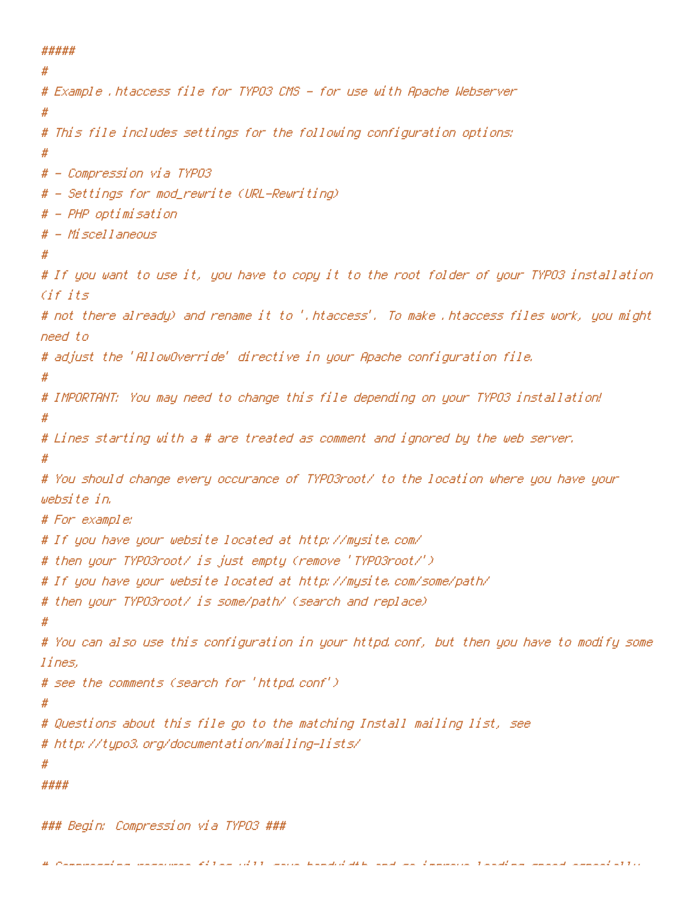## #####

```
#
# Example .htaccess file for TYPO3 CMS - for use with Apache Webserver
#
# This file includes settings for the following configuration options:
#
# - Compression via TYPO3
# - Settings for mod_rewrite (URL-Rewriting)
# - PHP optimisation
# - Miscellaneous
#
# If you want to use it, you have to copy it to the root folder of your TYPO3 installation
Cif if# not there already) and rename it to '.htaccess'. To make .htaccess files work, you might
need to
# adjust the 'AllowOverride' directive in your Apache configuration file.
#
# IMPORTANT: You may need to change this file depending on your TYPO3 installation!
#
# Lines starting with a # are treated as comment and ignored by the web server.
#
# You should change every occurance of TYPO3root/ to the location where you have your
website in.
# For example:
# If you have your website located at http://mysite.com/
# then your TYPO3root/ is just empty (remove 'TYPO3root/')
# If you have your website located at http://mysite.com/some/path/
# then your TYPO3root/ is some/path/ (search and replace)
#
# You can also use this configuration in your httpd.conf, but then you have to modify some
lines,
# see the comments (search for 'httpd.conf')
#
# Questions about this file go to the matching Install mailing list, see
# http://typo3.org/documentation/mailing-lists/
#
####
```
### Begin: Compression via TYPO3 ###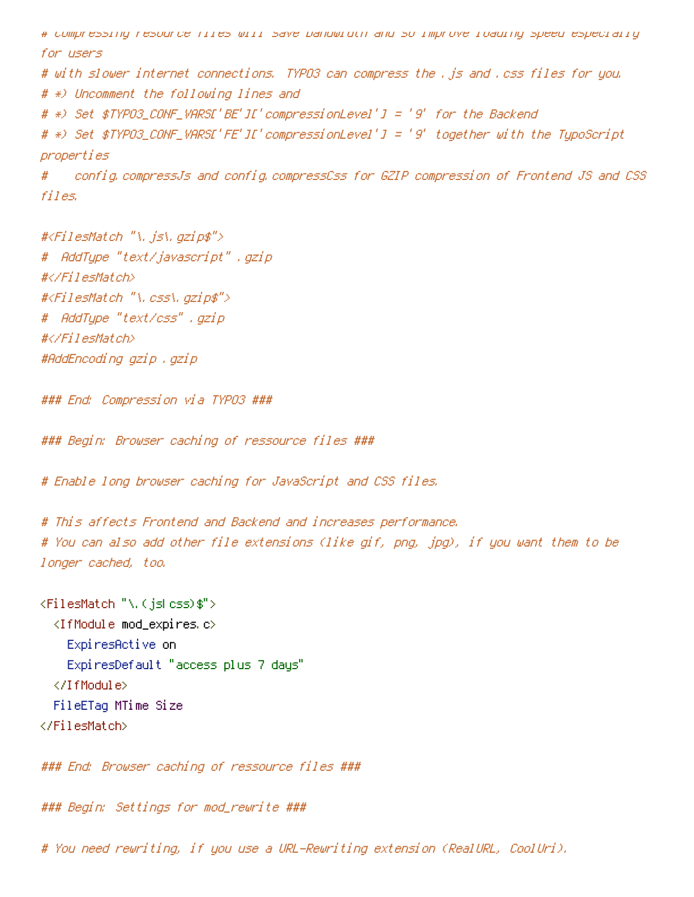# Compressing resource files will save bandwidth and so improve loading speed especially for users # with slower internet connections. TYPO3 can compress the .js and .css files for you. # \*) Uncomment the following lines and # \*) Set \$TYPO3\_CONF\_VARS['BE']['compressionLevel'] <sup>=</sup> '9' for the Backend # \*) Set \$TYPO3\_CONF\_VARS['FE']['compressionLevel'] <sup>=</sup> '9' together with the TypoScript properties # config.compressJs and config.compressCss for GZIP compression of Frontend JS and CSS files. #<FilesMatch "\.js\.gzip\$">

# AddType "text/javascript" .gzip #</FilesMatch> #<FilesMatch "\.css\.gzip\$"> # AddType "text/css" .gzip #</FilesMatch> #AddEncoding gzip .gzip

### End: Compression via TYPO3 ###

### Begin: Browser caching of ressource files ###

# Enable long browser caching for JavaScript and CSS files.

# This affects Frontend and Backend and increases performance. # You can also add other file extensions (like gif, png, jpg), if you want them to be longer cached, too.

<FilesMatch "\.(js|css)\$"> <IfModule mod\_expires.c> ExpiresActive on ExpiresDefault "access plus 7 days" </IfModule> FileETag MTime Size </FilesMatch>

### End: Browser caching of ressource files ###

### Begin: Settings for mod\_rewrite ###

# You need rewriting, if you use <sup>a</sup> URL-Rewriting extension (RealURL, CoolUri).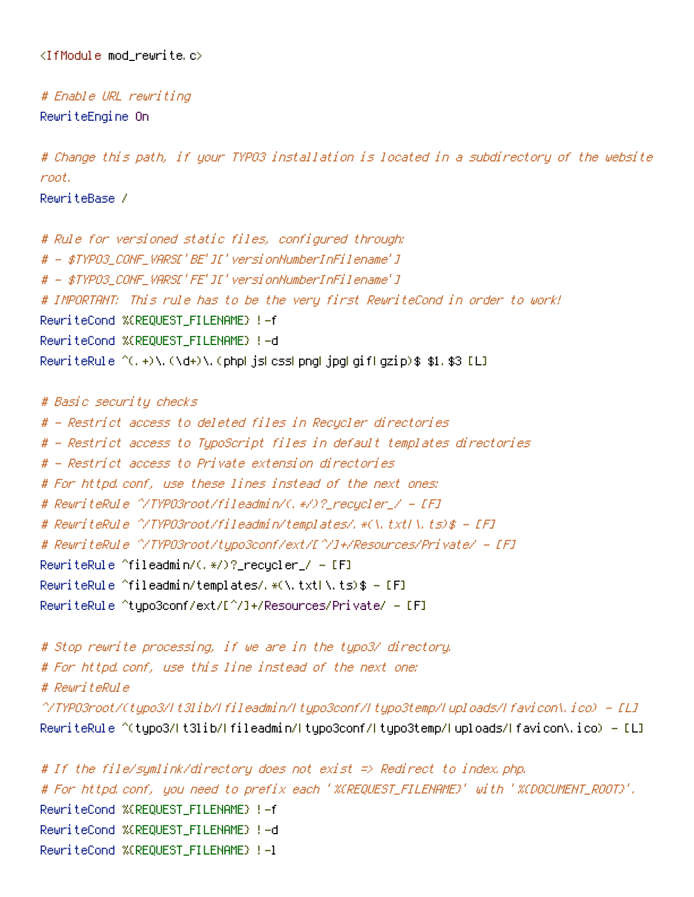<IfModule mod\_rewrite.c>

# Enable URL rewriting RewriteEngine On

# Change this path, if your TYPO3 installation is located in <sup>a</sup> subdirectory of the website root. RewriteBase /

# Rule for versioned static files, configured through: # - \$TYPO3\_CONF\_VARS['BE']['versionNumberInFilename'] # - \$TYPO3\_CONF\_VARS['FE']['versionNumberInFilename'] # IMPORTANT: This rule has to be the very first RewriteCond in order to work! RewriteCond %{REQUEST\_FILENAME} !-f RewriteCond %{REQUEST\_FILENAME} !-d RewriteRule ^(,+)\.(\d+)\.(php|js|css|png|jpg|gif|gzip)\$ \$1.\$3 [L]

```
# Basic security checks
# - Restrict access to deleted files in Recycler directories
# - Restrict access to TypoScript files in default templates directories
# - Restrict access to Private extension directories
# For httpd.conf, use these lines instead of the next ones:
# RewriteRule ^/TYPO3root/fileadmin/(.*/)?_recycler_/ - [F]
# RewriteRule ^/TYPO3root/fileadmin/templates/.*(\.txtl\.ts)$ - [F]
# RewriteRule ^/TYPO3root/typo3conf/ext/[^/]+/Resources/Private/ - [F]
RewriteRule ^fileadmin/(.*/)?_recycler_/ - [F]
RewriteRule ^fileadmin/templates/.*(\.txt|\.ts)$ - [F]
RewriteRule ^typo3conf/ext/[^/]+/Resources/Private/ - [F]
```

```
# Stop rewrite processing, if we are in the typo3/ directory.
# For httpd.conf, use this line instead of the next one:
# RewriteRule
^/TYPO3root/(typo3/|t3lib/|fileadmin/|typo3conf/|typo3temp/|uploads/|favicon\.ico) - [L]
RewriteRule ^(typo3/It3lib/Ifileadmin/Itypo3conf/Itypo3temp/Iuploads/Ifavicon\.ico) - [L]
```

```
# If the file/symlink/directory does not exist => Redirect to index.php.
# For httpd.conf, you need to prefix each '%{REQUEST_FILENAME}' with '%{DOCUMENT_ROOT}'.
RewriteCond %{REQUEST_FILENAME} !-f
RewriteCond %{REQUEST_FILENAME} !-d
RewriteCond %{REQUEST_FILENAME} !-l
```